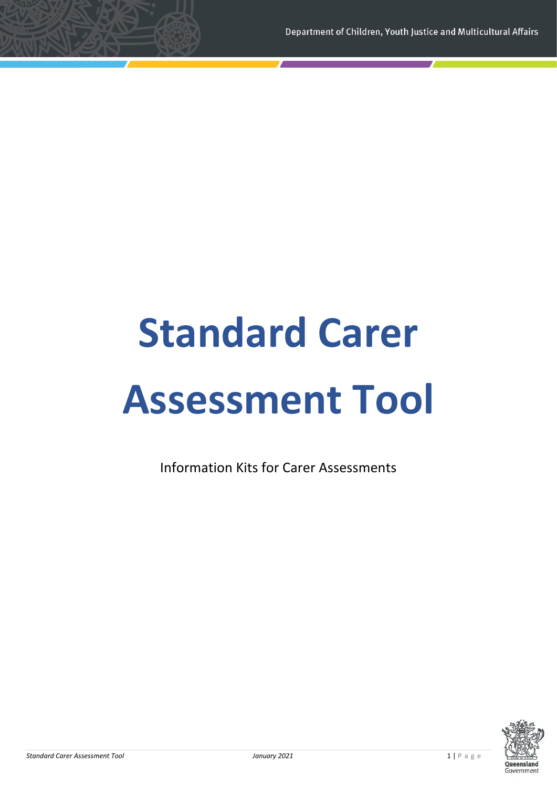# **Standard Carer Assessment Tool**

Information Kits for Carer Assessments

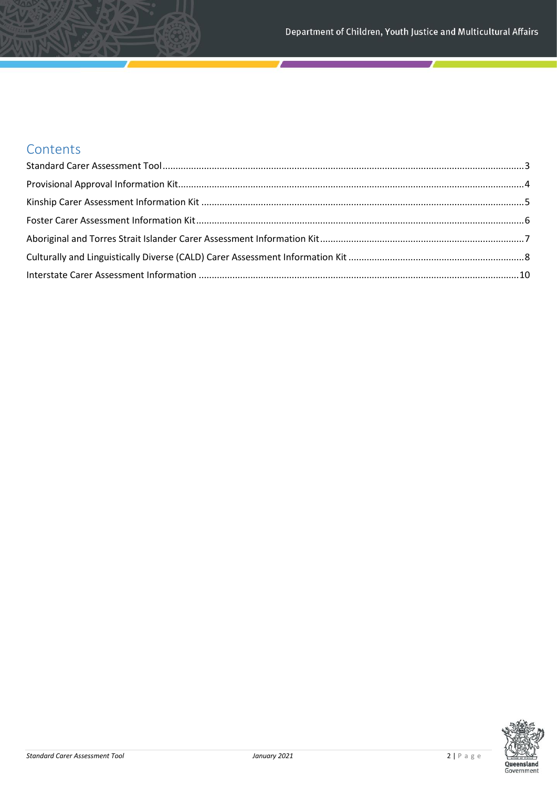## **Contents**

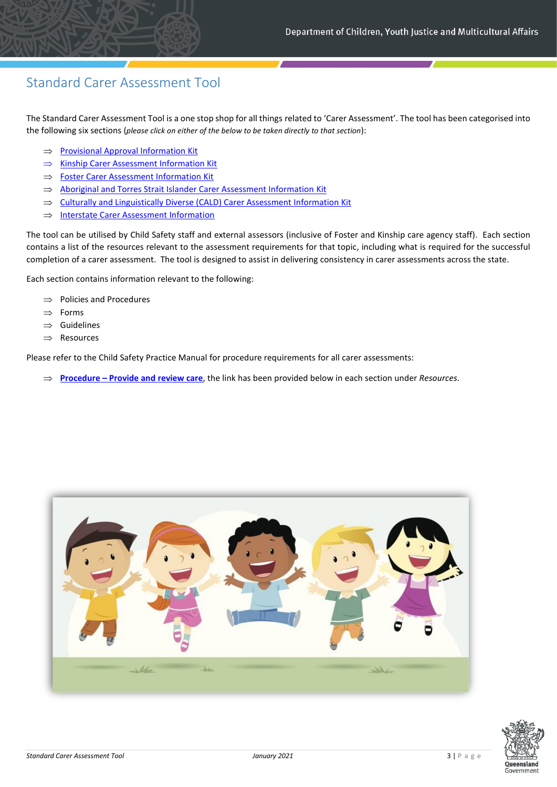## <span id="page-2-0"></span>Standard Carer Assessment Tool

The Standard Carer Assessment Tool is a one stop shop for all things related to 'Carer Assessment'. The tool has been categorised into the following six sections (*please click on either of the below to be taken directly to that section*):

- $\Rightarrow$  [Provisional Approval Information Kit](#page-3-0)
- $\implies$  [Kinship Carer Assessment Information Kit](#page-4-0)
- $\Rightarrow$  [Foster Carer Assessment Information](#page-5-0) Kit
- $\implies$  [Aboriginal and Torres Strait Islander Carer Assessment Information](#page-5-1) Kit
- $\Rightarrow$  [Culturally and Linguistically Diverse \(CALD\) Carer Assessment](#page-8-0) Information Kit
- $\implies$  [Interstate Carer Assessment Information](#page-10-0)

The tool can be utilised by Child Safety staff and external assessors (inclusive of Foster and Kinship care agency staff). Each section contains a list of the resources relevant to the assessment requirements for that topic, including what is required for the successful completion of a carer assessment. The tool is designed to assist in delivering consistency in carer assessments across the state.

Each section contains information relevant to the following:

- $\Rightarrow$  Policies and Procedures
- $\Rightarrow$  Forms
- $\Rightarrow$  Guidelines
- $\Rightarrow$  Resources

Please refer to the Child Safety Practice Manual for procedure requirements for all carer assessments:

**Procedure – [Provide and review care](https://cspm.csyw.qld.gov.au/procedures/provide-and-review-care/assess-and-approve-carers)**, the link has been provided below in each section under *Resources*.



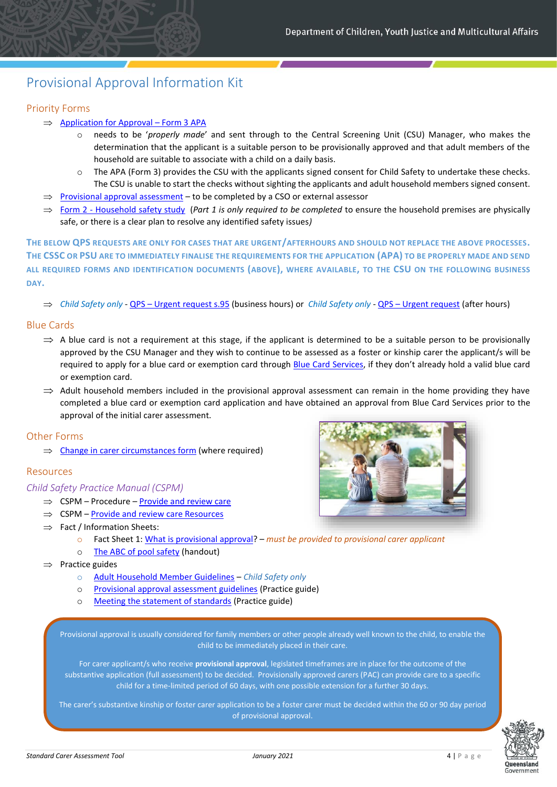## <span id="page-3-0"></span>Provisional Approval Information Kit

#### Priority Forms

- $\implies$  [Application for Approval](https://cspm.csyw.qld.gov.au/resources/form/Application-for-Approval-Form-3-APA/95bb8a05-2e3b-411a-ae9a-3e06b8555b81)  Form 3 APA
	- needs to be 'properly made' and sent through to the Central Screening Unit (CSU) Manager, who makes the determination that the applicant is a suitable person to be provisionally approved and that adult members of the household are suitable to associate with a child on a daily basis.
	- $\circ$  The APA (Form 3) provides the CSU with the applicants signed consent for Child Safety to undertake these checks. The CSU is unable to start the checks without sighting the applicants and adult household members signed consent.
- $\Rightarrow$  [Provisional approval assessment](https://cspm.csyw.qld.gov.au/resources/form/Provisional-approval-assessment/504fd091-ce28-4b74-b19c-794c766fdc4b) to be completed by a CSO or external assessor
- $\Rightarrow$  Form 2 [Household safety study](https://cspm.csyw.qld.gov.au/resources/template/Form-2-Household-safety-study/1d499dcb-99af-480d-93bd-05d7c4443179) (*Part 1 is only required to be completed* to ensure the household premises are physically safe, or there is a clear plan to resolve any identified safety issues*)*

**THE BELOW QPS REQUESTS ARE ONLY FOR CASES THAT ARE URGENT/AFTERHOURS AND SHOULD NOT REPLACE THE ABOVE PROCESSES. THE CSSC OR PSU ARE TO IMMEDIATELY FINALISE THE REQUIREMENTS FOR THE APPLICATION (APA) TO BE PROPERLY MADE AND SEND ALL REQUIRED FORMS AND IDENTIFICATION DOCUMENTS (ABOVE), WHERE AVAILABLE, TO THE CSU ON THE FOLLOWING BUSINESS DAY.**

*Child Safety only* - QPS – [Urgent request s.95](https://cspm.csyw.qld.gov.au/resources/form/QPS-urgent-request-business-hours/e24cc596-5ebd-426e-8798-93bc3a5bca12) (business hours) or *Child Safety only* - QPS – [Urgent request](https://cspm.csyw.qld.gov.au/resources/form/QPS-urgent-request-after-hours/d0713446-4100-4c13-8058-00297584e9e3) (after hours)

#### Blue Cards

- $\Rightarrow$  A blue card is not a requirement at this stage, if the applicant is determined to be a suitable person to be provisionally approved by the CSU Manager and they wish to continue to be assessed as a foster or kinship carer the applicant/s will be required to apply for a blue card or exemption card through [Blue Card Services](https://www.qld.gov.au/law/laws-regulated-industries-and-accountability/queensland-laws-and-regulations/regulated-industries-and-licensing/blue-card-services), if they don't already hold a valid blue card or exemption card.
- $\Rightarrow$  Adult household members included in the provisional approval assessment can remain in the home providing they have completed a blue card or exemption card application and have obtained an approval from Blue Card Services prior to the approval of the initial carer assessment.

#### Other Forms

 $\Rightarrow$  [Change in carer circumstances form](https://cspm.csyw.qld.gov.au/resources/form/Change-in-carer-circumstances/2b07c72d-3602-4b36-b3a5-2015d891fd41) (where required)

#### Resources

#### *Child Safety Practice Manual (CSPM)*

- $\Rightarrow$  CSPM Procedure [Provide and review care](https://cspm.csyw.qld.gov.au/procedures/provide-and-review-care/assess-and-approve-carers#Complete_the_assessment_requirements_for_provisional_approval)
- $\Rightarrow$  CSPM [Provide and review care Resources](https://cspm.csyw.qld.gov.au/resources?procedures=35&page=1)
- $\Rightarrow$  Fact / Information Sheets:
	- o Fact Sheet 1: [What is provisional approval?](https://www.csyw.qld.gov.au/resources/dcsyw/child-family/foster-kinship-care/fs-01-provisional-approval.pdf) *must be provided to provisional carer applicant*
	- o [The ABC of pool safety](https://cspm.csyw.qld.gov.au/resources/resource/The-ABC-of-pool-safety/75051b3d-6376-4619-bb86-5611e6dfa1f3) (handout)
- $\Rightarrow$  Practice guides
	- o [Adult Household Member Guidelines](https://cspm.csyw.qld.gov.au/resources/resource/Adult-household-member-guidelines/cf684d2d-f891-4b52-a407-68648b29306f) *Child Safety only*
	- o [Provisional approval assessment guidelines](https://cspm.csyw.qld.gov.au/resources/resource/Provisional-approval-assessment-guidelines/fb5157bb-51ab-4ab7-aec4-df2dc017d79e) (Practice guide)
	- o [Meeting the statement of standards](https://cspm.csyw.qld.gov.au/resources/resource/Meeting-the-statement-of-standards/a1774bd9-86b1-43ef-9869-eef0d2385771) (Practice guide)

Provisional approval is usually considered for family members or other people already well known to the child, to enable the child to be immediately placed in their care.

For carer applicant/s who receive **provisional approval**, legislated timeframes are in place for the outcome of the substantive application (full assessment) to be decided. Provisionally approved carers (PAC) can provide care to a specific child for a time-limited period of 60 days, with one possible extension for a further 30 days.

The carer's substantive kinship or foster carer application to be a foster carer must be decided within the 60 or 90 day period of provisional approval.

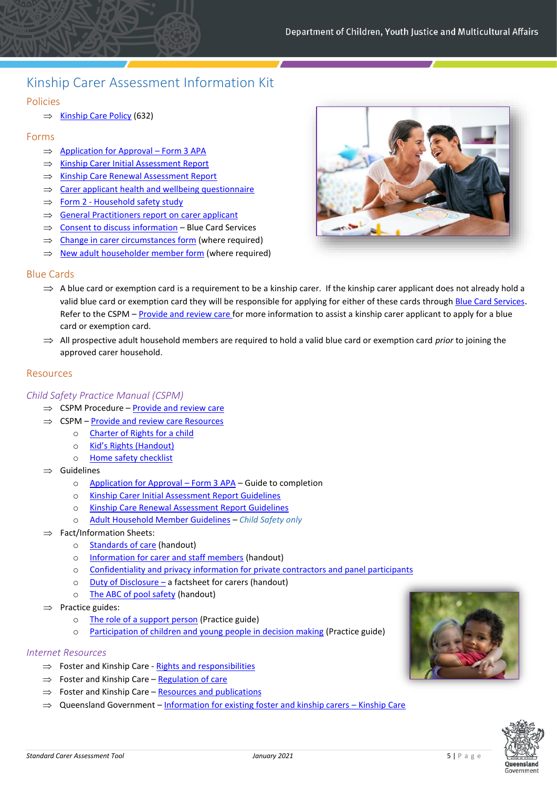## <span id="page-4-0"></span>Kinship Carer Assessment Information Kit

#### Policies

 $\Rightarrow$  [Kinship Care Policy](https://www.csyw.qld.gov.au/resources/dcsyw/child-family/foster-kinship-care/kinship-care-632.pdf) (632)

#### Forms

- $\implies$  [Application for Approval](https://cspm.csyw.qld.gov.au/resources/form/Application-for-Approval-Form-3-APA/95bb8a05-2e3b-411a-ae9a-3e06b8555b81)  Form 3 APA
- $\implies$  [Kinship Carer Initial Assessment Report](https://cspm.csyw.qld.gov.au/resources/template/Kinship-carer-initial-assessment-report/911e7df7-ca1b-4284-9869-e17119ada6cd)
- $\implies$  [Kinship Care Renewal Assessment Report](https://cspm.csyw.qld.gov.au/resources/template/Kinship-carer-renewal-assessment-report/cba61e65-ad85-41ad-b667-c649af419603)
- $\implies$  [Carer applicant health and wellbeing questionnaire](https://cspm.csyw.qld.gov.au/resources/form/Carer-Applicant-Health-Wellbeing-Questionnaire/82fcbddb-e2bc-4f48-be0d-c15061495486)
- $\Rightarrow$  Form 2 [Household safety study](https://cspm.csyw.qld.gov.au/resources/template/Form-2-Household-safety-study/1d499dcb-99af-480d-93bd-05d7c4443179)
- [General Practitioners report on](https://www.csyw.qld.gov.au/resources/dcsyw/child-family/foster-kinship-care/gpreport.pdf) carer applicant
- $\implies$  [Consent to discuss information](https://cspm.csyw.qld.gov.au/resources/template/Consent-to-discuss-information-form/ed51b5db-7d32-429a-95ff-53770c3e8d2c) Blue Card Services
- $\Rightarrow$  [Change in carer circumstances form](https://cspm.csyw.qld.gov.au/resources/form/Change-in-carer-circumstances/2b07c72d-3602-4b36-b3a5-2015d891fd41) (where required)
- $\Rightarrow$  [New adult householder member form](https://cspm.csyw.qld.gov.au/resources/form/New-adult-household-member/4f104c54-d9b6-42d3-adca-fbcccc13fbc7) (where required)

#### Blue Cards

- $\Rightarrow$  A blue card or exemption card is a requirement to be a kinship carer. If the kinship carer applicant does not already hold a valid blue card or exemption card they will be responsible for applying for either of these cards throug[h Blue Card Services](https://www.qld.gov.au/law/laws-regulated-industries-and-accountability/queensland-laws-and-regulations/regulated-industries-and-licensing/blue-card-services). Refer to the CSPM – [Provide and review care](https://cspm.csyw.qld.gov.au/procedures/provide-and-review-care) for more information to assist a kinship carer applicant to apply for a blue card or exemption card.
- All prospective adult household members are required to hold a valid blue card or exemption card *prior* to joining the approved carer household.

#### Resources

#### *Child Safety Practice Manual (CSPM)*

- $\Rightarrow$  CSPM Procedure [Provide and review care](https://cspm.csyw.qld.gov.au/procedures/provide-and-review-care)
- $\Rightarrow$  CSPM [Provide and review care Resources](https://cspm.csyw.qld.gov.au/resources?procedures=35&page=1)
	- o [Charter of Rights for a child](https://www.csyw.qld.gov.au/child-family/foster-kinship-care/rights-responsibilities/charter-rights-child-care)
	- o [Kid's Rights \(Handout\)](https://cspm.csyw.qld.gov.au/resources/resource/Kid-s-rights/8aa8addc-ef83-4f52-9587-7c289e42c9be)
	- o [Home safety checklist](https://static1.squarespace.com/static/5a70178a4c326d908fa4f3ed/t/5a81165d8165f5c700c2595b/1518409312211/KID0116-2016HomeSafetyChecklist_CMYK_4PP_WEB.pdf)
- $\implies$  Guidelines
	- o [Application for Approval](https://cspm.csyw.qld.gov.au/resources/resource/Application-for-approval-form-3-guide-to-completio/99af5c4d-fbf6-4af8-8c63-0ef0ad7b5c39)  Form 3 APA Guide to completion
	- o [Kinship Carer Initial Assessment Report Guidelines](https://cspm.csyw.qld.gov.au/resources/resource/Kinship-carer-initial-assessment-report-guidelines/a4bb27b9-6f8e-491f-9f1c-70ba0676d665)
	- o [Kinship Care Renewal Assessment Report Guidelines](https://cspm.csyw.qld.gov.au/resources/resource/Kinship-carer-renewal-assessment-report-guidelines/57ee0ad5-1729-47d5-b453-be108b95ec98)
	- o [Adult Household Member Guidelines](https://cspm.csyw.qld.gov.au/resources/resource/Adult-household-member-guidelines/cf684d2d-f891-4b52-a407-68648b29306f) *Child Safety only*
- $\Rightarrow$  Fact/Information Sheets:
	- o [Standards of care](https://cspm.csyw.qld.gov.au/getattachment/d35fa478-3610-4ff6-89a6-397cc068498f/standards-care.pdf) (handout)
	- o [Information for carer and staff members](https://cspm.csyw.qld.gov.au/resources/resource/Information-sheet-for-carers-and-staff-members/7c08a9df-2078-4c7f-88f9-082f4f075ed5) (handout)
	- o [Confidentiality and privacy information for private contractors and panel participants](https://www.csyw.qld.gov.au/resources/dcsyw/child-family/foster-kinship-care/confidentiality-private-contractors-panel-participants.pdf)
	- o [Duty of Disclosure](https://cspm.csyw.qld.gov.au/resources/resource/Duty-of-disclosure-a-fact-sheet-for-carers-1/076b4c46-3be9-473e-afa4-2a3098cf0c82)  a factsheet for carers (handout)
	- o [The ABC of pool safety](https://cspm.csyw.qld.gov.au/resources/resource/The-ABC-of-pool-safety/75051b3d-6376-4619-bb86-5611e6dfa1f3) (handout)
- $\Rightarrow$  Practice guides:
	- o [The role of a support person](https://cspm.csyw.qld.gov.au/getattachment/52e33fe3-bbef-4e5c-aeb6-1fabcabff02b/pg-role-support-person.pdf) (Practice guide)
	- o [Participation of children and young people in decision making](https://cspm.csyw.qld.gov.au/getattachment/9f9fcab1-f673-4f04-a4ed-5d91f8bb3a4e/pg-participation-children-yp-decision-making.pdf) (Practice guide)

- $\Rightarrow$  Foster and Kinship Care [Rights and responsibilities](https://www.csyw.qld.gov.au/child-family/foster-kinship-care/rights-responsibilities)
- $\Rightarrow$  Foster and Kinship Care [Regulation of care](https://www.csyw.qld.gov.au/child-family/foster-kinship-care/regulation-care)
- $\Rightarrow$  Foster and Kinship Care [Resources and publications](https://www.csyw.qld.gov.au/child-family/foster-kinship-care/resources-publications)
- $\Rightarrow$  Queensland Government [Information for existing foster and kinship carers](https://www.qld.gov.au/community/caring-child/foster-kinship-care/information-for-carers/kinship-care) Kinship Care





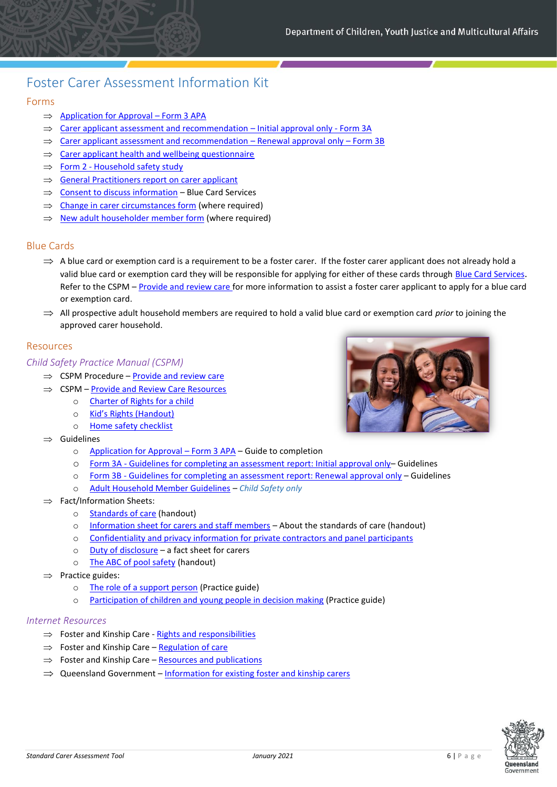## <span id="page-5-0"></span>Foster Carer Assessment Information Kit

#### Forms

- $\implies$  [Application for Approval](https://cspm.csyw.qld.gov.au/resources/form/Application-for-Approval-Form-3-APA/95bb8a05-2e3b-411a-ae9a-3e06b8555b81)  Form 3 APA
- $\Rightarrow$  [Carer applicant assessment and recommendation](https://cspm.csyw.qld.gov.au/resources/template/Form-3A-Carer-applicant-assessment-and-recommendat/69498941-6b30-4971-820f-d8d365e2a409)  Initial approval only Form 3A
- $\Rightarrow$  [Carer applicant assessment and recommendation](https://cspm.csyw.qld.gov.au/resources/template/Form-3B-Carer-applicant-assessment-and-recommendat/bb3dc72c-0951-431a-b0d3-03347a181a46)  Renewal approval only Form 3B
- $\Rightarrow$  [Carer applicant health and wellbeing questionnaire](https://cspm.csyw.qld.gov.au/resources/form/Carer-Applicant-Health-Wellbeing-Questionnaire/82fcbddb-e2bc-4f48-be0d-c15061495486)
- $\Rightarrow$  Form 2 [Household safety study](https://cspm.csyw.qld.gov.au/resources/template/Form-2-Household-safety-study/1d499dcb-99af-480d-93bd-05d7c4443179)
- $\Rightarrow$  [General Practitioners report on carer applicant](https://www.csyw.qld.gov.au/resources/dcsyw/child-family/foster-kinship-care/gpreport.pdf)
- $\implies$  [Consent to discuss information](https://cspm.csyw.qld.gov.au/resources/template/Consent-to-discuss-information-form/ed51b5db-7d32-429a-95ff-53770c3e8d2c) Blue Card Services
- $\Rightarrow$  [Change in carer circumstances form](https://cspm.csyw.qld.gov.au/resources/form/Change-in-carer-circumstances/2b07c72d-3602-4b36-b3a5-2015d891fd41) (where required)
- $\Rightarrow$  [New adult householder member form](https://cspm.csyw.qld.gov.au/resources/form/New-adult-household-member/4f104c54-d9b6-42d3-adca-fbcccc13fbc7) (where required)

#### Blue Cards

- $\Rightarrow$  A blue card or exemption card is a requirement to be a foster carer. If the foster carer applicant does not already hold a valid blue card or exemption card they will be responsible for applying for either of these cards through [Blue Card Services](https://www.qld.gov.au/law/laws-regulated-industries-and-accountability/queensland-laws-and-regulations/regulated-industries-and-licensing/blue-card-services). Refer to the CSPM – [Provide and review care](https://cspm.csyw.qld.gov.au/procedures/provide-and-review-care) for more information to assist a foster carer applicant to apply for a blue card or exemption card.
- $\Rightarrow$  All prospective adult household members are required to hold a valid blue card or exemption card *prior* to joining the approved carer household.

#### Resources

#### *Child Safety Practice Manual (CSPM)*

- $\Rightarrow$  CSPM Procedure [Provide and review care](https://cspm.csyw.qld.gov.au/procedures/provide-and-review-care)
- $\Rightarrow$  CSPM [Provide and Review Care Resources](https://cspm.csyw.qld.gov.au/resources?procedures=35&page=1)
	- o [Charter of Rights for a child](https://www.csyw.qld.gov.au/child-family/foster-kinship-care/rights-responsibilities/charter-rights-child-care)
	- o [Kid's Rights \(Handout\)](https://cspm.csyw.qld.gov.au/resources/resource/Kid-s-rights/8aa8addc-ef83-4f52-9587-7c289e42c9be)
	- o [Home safety checklist](https://static1.squarespace.com/static/5a70178a4c326d908fa4f3ed/t/5a81165d8165f5c700c2595b/1518409312211/KID0116-2016HomeSafetyChecklist_CMYK_4PP_WEB.pdf)
- $\Rightarrow$  Guidelines
	- o [Application for Approval](https://cspm.csyw.qld.gov.au/resources/resource/Application-for-approval-form-3-guide-to-completio/99af5c4d-fbf6-4af8-8c63-0ef0ad7b5c39)  Form 3 APA Guide to completion
	- o Form 3A [Guidelines for completing an assessment](https://cspm.csyw.qld.gov.au/resources/resource/Form-3A-Guidelines-for-completing-an-assessment-re/d34e5d82-6477-4bc6-8118-271bd3d3e289) report: Initial approval only– Guidelines
	- o Form 3B [Guidelines for completing an assessment report: Renewal approval only](https://cspm.csyw.qld.gov.au/resources/resource/Form-3B-Guidelines-for-completing-an-assessment-re/40e1170d-0003-42b9-ba04-d99257ad5a1e) Guidelines
	- o [Adult Household Member Guidelines](https://cspm.csyw.qld.gov.au/resources/resource/Adult-household-member-guidelines/cf684d2d-f891-4b52-a407-68648b29306f) *Child Safety only*
- $\Rightarrow$  Fact/Information Sheets:
	- o [Standards of care](https://cspm.csyw.qld.gov.au/getattachment/d35fa478-3610-4ff6-89a6-397cc068498f/standards-care.pdf) (handout)
	- o [Information sheet for carers and staff members](https://cspm.csyw.qld.gov.au/getattachment/25ba167f-cdbd-47df-8c2d-bbc1cf60ed4b/info-sheet-carers-staff-members.pdf) About the standards of care (handout)
	- o [Confidentiality and privacy information for private contractors and panel participants](https://www.csyw.qld.gov.au/resources/dcsyw/child-family/foster-kinship-care/confidentiality-private-contractors-panel-participants.pdf)
	- o [Duty of disclosure](https://www.csyw.qld.gov.au/resources/dcsyw/child-family/foster-kinship-care/duty-disclosure-fact-sheet-for-carers.pdf) a fact sheet for carers
	- o [The ABC of pool safety](https://cspm.csyw.qld.gov.au/resources/resource/The-ABC-of-pool-safety/75051b3d-6376-4619-bb86-5611e6dfa1f3) (handout)
- $\Rightarrow$  Practice guides:
	- o [The role of a support person](https://cspm.csyw.qld.gov.au/getattachment/52e33fe3-bbef-4e5c-aeb6-1fabcabff02b/pg-role-support-person.pdf) (Practice guide)
	- o [Participation of children and young people in decision making](https://cspm.csyw.qld.gov.au/getattachment/9f9fcab1-f673-4f04-a4ed-5d91f8bb3a4e/pg-participation-children-yp-decision-making.pdf) (Practice guide)

- $\Rightarrow$  Foster and Kinship Care [Rights and responsibilities](https://www.csyw.qld.gov.au/child-family/foster-kinship-care/rights-responsibilities)
- $\Rightarrow$  Foster and Kinship Care [Regulation of care](https://www.csyw.qld.gov.au/child-family/foster-kinship-care/regulation-care)
- $\Rightarrow$  Foster and Kinship Care [Resources and publications](https://www.csyw.qld.gov.au/child-family/foster-kinship-care/resources-publications)
- $\implies$  Queensland Government [Information for existing foster and kinship carers](https://www.qld.gov.au/community/caring-child/foster-kinship-care/information-for-carers)



<span id="page-5-1"></span>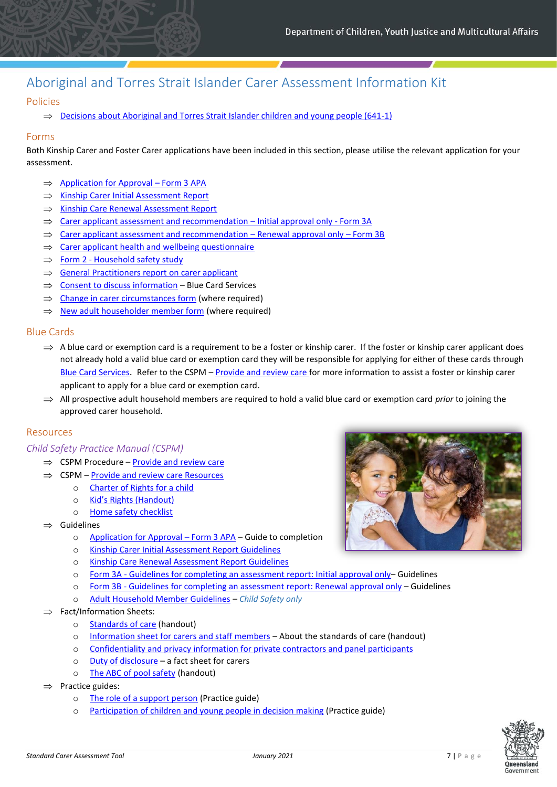## Aboriginal and Torres Strait Islander Carer Assessment Information Kit

#### Policies

 $\implies$  [Decisions about Aboriginal and Torres Strait Islander children and young people \(641-1\)](https://www.csyw.qld.gov.au/resources/dcsyw/child-family/protecting-children/decision-making-atsi-children-641.pdf)

#### Forms

Both Kinship Carer and Foster Carer applications have been included in this section, please utilise the relevant application for your assessment.

- $\implies$  [Application for Approval](https://cspm.csyw.qld.gov.au/resources/form/Application-for-Approval-Form-3-APA/95bb8a05-2e3b-411a-ae9a-3e06b8555b81)  Form 3 APA
- $\implies$  [Kinship Carer Initial Assessment Report](https://cspm.csyw.qld.gov.au/resources/template/Kinship-carer-initial-assessment-report/911e7df7-ca1b-4284-9869-e17119ada6cd)
- $\implies$  [Kinship Care Renewal Assessment Report](https://cspm.csyw.qld.gov.au/resources/template/Kinship-carer-renewal-assessment-report/cba61e65-ad85-41ad-b667-c649af419603)
- $\Rightarrow$  [Carer applicant assessment and recommendation](https://cspm.csyw.qld.gov.au/resources/template/Form-3A-Carer-applicant-assessment-and-recommendat/69498941-6b30-4971-820f-d8d365e2a409)  Initial approval only Form 3A
- $\Rightarrow$  [Carer applicant assessment and recommendation](https://cspm.csyw.qld.gov.au/resources/template/Form-3B-Carer-applicant-assessment-and-recommendat/bb3dc72c-0951-431a-b0d3-03347a181a46)  Renewal approval only Form 3B
- $\implies$  [Carer applicant health and wellbeing questionnaire](https://cspm.csyw.qld.gov.au/resources/form/Carer-Applicant-Health-Wellbeing-Questionnaire/82fcbddb-e2bc-4f48-be0d-c15061495486)
- $\Rightarrow$  Form 2 [Household safety study](https://cspm.csyw.qld.gov.au/resources/template/Form-2-Household-safety-study/1d499dcb-99af-480d-93bd-05d7c4443179)
- $\Rightarrow$  [General Practitioners report on carer applicant](https://www.csyw.qld.gov.au/resources/dcsyw/child-family/foster-kinship-care/gpreport.pdf)
- $\implies$  [Consent to discuss information](https://cspm.csyw.qld.gov.au/resources/template/Consent-to-discuss-information-form/ed51b5db-7d32-429a-95ff-53770c3e8d2c) Blue Card Services
- $\Rightarrow$  [Change in carer circumstances form](https://cspm.csyw.qld.gov.au/resources/form/Change-in-carer-circumstances/2b07c72d-3602-4b36-b3a5-2015d891fd41) (where required)
- $\Rightarrow$  [New adult householder member form](https://cspm.csyw.qld.gov.au/resources/form/New-adult-household-member/4f104c54-d9b6-42d3-adca-fbcccc13fbc7) (where required)

#### Blue Cards

- $\Rightarrow$  A blue card or exemption card is a requirement to be a foster or kinship carer. If the foster or kinship carer applicant does not already hold a valid blue card or exemption card they will be responsible for applying for either of these cards through [Blue Card Services](https://www.qld.gov.au/law/laws-regulated-industries-and-accountability/queensland-laws-and-regulations/regulated-industries-and-licensing/blue-card-services). Refer to the CSPM – [Provide and review care](https://cspm.csyw.qld.gov.au/procedures/provide-and-review-care) for more information to assist a foster or kinship carer applicant to apply for a blue card or exemption card.
- $\implies$  All prospective adult household members are required to hold a valid blue card or exemption card *prior* to joining the approved carer household.

#### Resources

#### *Child Safety Practice Manual (CSPM)*

- $\Rightarrow$  CSPM Procedure [Provide and review care](https://cspm.csyw.qld.gov.au/procedures/provide-and-review-care)
- $\Rightarrow$  CSPM [Provide and review care Resources](https://cspm.csyw.qld.gov.au/resources?procedures=35&page=1)
	- o [Charter of Rights for a child](https://www.csyw.qld.gov.au/child-family/foster-kinship-care/rights-responsibilities/charter-rights-child-care)
	- o [Kid's Rights \(Hando](https://cspm.csyw.qld.gov.au/resources/resource/Kid-s-rights/8aa8addc-ef83-4f52-9587-7c289e42c9be)ut)
	- o [Home safety checklist](https://static1.squarespace.com/static/5a70178a4c326d908fa4f3ed/t/5a81165d8165f5c700c2595b/1518409312211/KID0116-2016HomeSafetyChecklist_CMYK_4PP_WEB.pdf)
- $\Rightarrow$  Guidelines
	- o [Application for Approval](https://cspm.csyw.qld.gov.au/resources/resource/Application-for-approval-form-3-guide-to-completio/99af5c4d-fbf6-4af8-8c63-0ef0ad7b5c39)  Form 3 APA Guide to completion
	- o [Kinship Carer Initial Assessment Report Guidelines](https://cspm.csyw.qld.gov.au/resources/resource/Kinship-carer-initial-assessment-report-guidelines/a4bb27b9-6f8e-491f-9f1c-70ba0676d665)
	- o [Kinship Care Renewal Assessment Report Guidelines](https://cspm.csyw.qld.gov.au/resources/resource/Kinship-carer-renewal-assessment-report-guidelines/57ee0ad5-1729-47d5-b453-be108b95ec98)
	- o Form 3A [Guidelines for completing an assessment report: Initial approval only](https://cspm.csyw.qld.gov.au/resources/resource/Form-3A-Guidelines-for-completing-an-assessment-re/d34e5d82-6477-4bc6-8118-271bd3d3e289) Guidelines
	- o Form 3B [Guidelines for completing an assessment report: Renewal approval only](https://cspm.csyw.qld.gov.au/resources/resource/Form-3B-Guidelines-for-completing-an-assessment-re/40e1170d-0003-42b9-ba04-d99257ad5a1e) Guidelines
	- o [Adult Household Member Guidelines](https://cspm.csyw.qld.gov.au/resources/resource/Adult-household-member-guidelines/cf684d2d-f891-4b52-a407-68648b29306f) *Child Safety only*
- $\Rightarrow$  Fact/Information Sheets:
	- o [Standards of care](https://cspm.csyw.qld.gov.au/getattachment/d35fa478-3610-4ff6-89a6-397cc068498f/standards-care.pdf) (handout)
	- o [Information sheet for carers and staff members](https://cspm.csyw.qld.gov.au/getattachment/25ba167f-cdbd-47df-8c2d-bbc1cf60ed4b/info-sheet-carers-staff-members.pdf) About the standards of care (handout)
	- o [Confidentiality and privacy information for private contractors and panel participants](https://www.csyw.qld.gov.au/resources/dcsyw/child-family/foster-kinship-care/confidentiality-private-contractors-panel-participants.pdf)
	- o [Duty of disclosure](https://www.csyw.qld.gov.au/resources/dcsyw/child-family/foster-kinship-care/duty-disclosure-fact-sheet-for-carers.pdf) a fact sheet for carers
	- o [The ABC of pool safety](https://cspm.csyw.qld.gov.au/resources/resource/The-ABC-of-pool-safety/75051b3d-6376-4619-bb86-5611e6dfa1f3) (handout)
- $\Rightarrow$  Practice guides:
	- o [The role of a support person](https://cspm.csyw.qld.gov.au/getattachment/52e33fe3-bbef-4e5c-aeb6-1fabcabff02b/pg-role-support-person.pdf) (Practice guide)
	- o Participation [of children and young people in decision making](https://cspm.csyw.qld.gov.au/getattachment/9f9fcab1-f673-4f04-a4ed-5d91f8bb3a4e/pg-participation-children-yp-decision-making.pdf) (Practice guide)



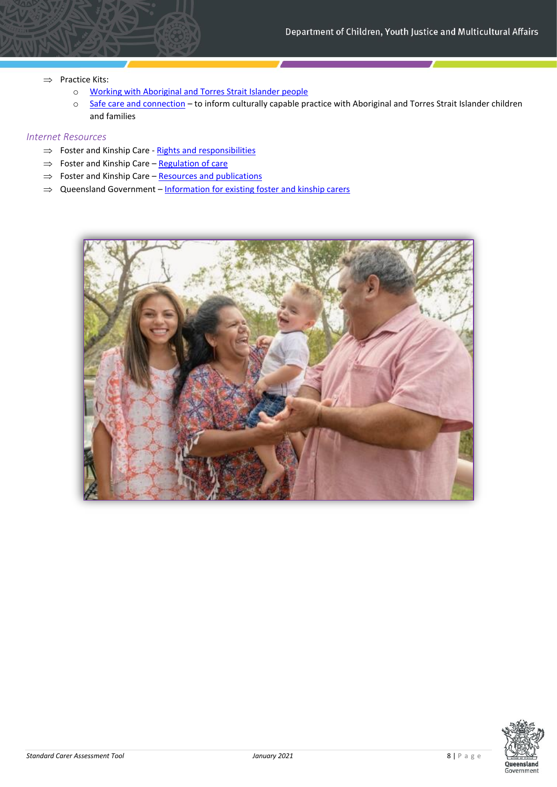- $\Rightarrow$  Practice Kits:
	- o [Working with Aboriginal and Torres Strait Islander people](https://cspm.csyw.qld.gov.au/practice-kits/care-arrangements/working-with-aboriginal-and-torres-strait-islander)
	- o [Safe care and connection](https://cspm.csyw.qld.gov.au/practice-kits/safe-care-and-connection) to inform culturally capable practice with Aboriginal and Torres Strait Islander children and families

- $\Rightarrow$  Foster and Kinship Care [Rights and responsibilities](https://www.csyw.qld.gov.au/child-family/foster-kinship-care/rights-responsibilities)
- $\Rightarrow$  Foster and Kinship Care [Regulation of care](https://www.csyw.qld.gov.au/child-family/foster-kinship-care/regulation-care)
- $\Rightarrow$  Foster and Kinship Care [Resources and publications](https://www.csyw.qld.gov.au/child-family/foster-kinship-care/resources-publications)
- <span id="page-7-0"></span> $\Rightarrow$  Queensland Government – [Information for existing foster](https://www.qld.gov.au/community/caring-child/foster-kinship-care/information-for-carers) and kinship carers



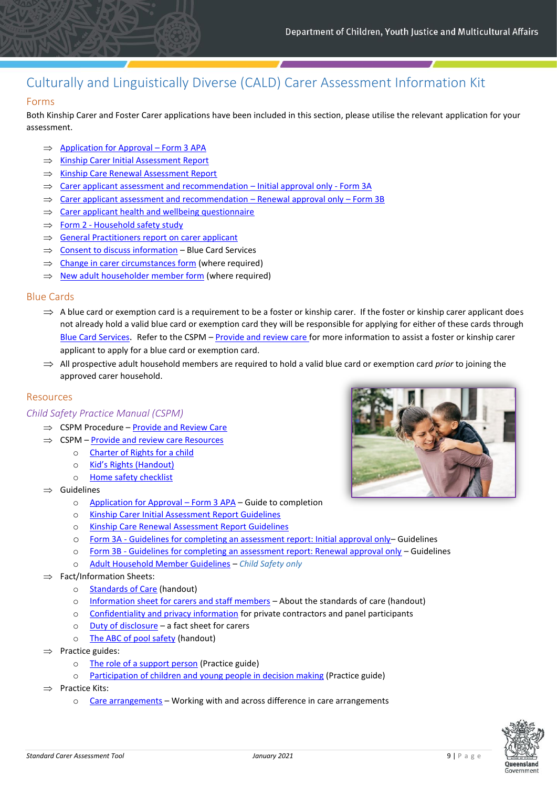# <span id="page-8-0"></span>Culturally and Linguistically Diverse (CALD) Carer Assessment Information Kit

#### Forms

Both Kinship Carer and Foster Carer applications have been included in this section, please utilise the relevant application for your assessment.

- $\implies$  [Application for Approval](https://cspm.csyw.qld.gov.au/resources/form/Application-for-Approval-Form-3-APA/95bb8a05-2e3b-411a-ae9a-3e06b8555b81)  Form 3 APA
- $\Rightarrow$  [Kinship Carer Initial Assessment Report](https://cspm.csyw.qld.gov.au/resources/template/Kinship-carer-initial-assessment-report/911e7df7-ca1b-4284-9869-e17119ada6cd)
- $\implies$  [Kinship Care Renewal Assessment Report](https://cspm.csyw.qld.gov.au/resources/template/Kinship-carer-renewal-assessment-report/cba61e65-ad85-41ad-b667-c649af419603)
- $\Rightarrow$  [Carer applicant assessment and recommendation](https://cspm.csyw.qld.gov.au/resources/template/Form-3A-Carer-applicant-assessment-and-recommendat/69498941-6b30-4971-820f-d8d365e2a409)  Initial approval only Form 3A
- $\Rightarrow$  [Carer applicant assessment and recommendation](https://cspm.csyw.qld.gov.au/resources/template/Form-3B-Carer-applicant-assessment-and-recommendat/bb3dc72c-0951-431a-b0d3-03347a181a46)  Renewal approval only Form 3B
- $\Rightarrow$  [Carer applicant health and wellbeing questionnaire](https://cspm.csyw.qld.gov.au/resources/form/Carer-Applicant-Health-Wellbeing-Questionnaire/82fcbddb-e2bc-4f48-be0d-c15061495486)
- $\Rightarrow$  Form 2 [Household safety study](https://cspm.csyw.qld.gov.au/resources/template/Form-2-Household-safety-study/1d499dcb-99af-480d-93bd-05d7c4443179)
- $\Rightarrow$  [General Practitioners report on carer applicant](https://www.csyw.qld.gov.au/resources/dcsyw/child-family/foster-kinship-care/gpreport.pdf)
- $\implies$  [Consent to discuss information](https://cspm.csyw.qld.gov.au/resources/template/Consent-to-discuss-information-form/ed51b5db-7d32-429a-95ff-53770c3e8d2c) Blue Card Services
- $\Rightarrow$  [Change in carer circumstances form](https://cspm.csyw.qld.gov.au/resources/form/Change-in-carer-circumstances/2b07c72d-3602-4b36-b3a5-2015d891fd41) (where required)
- $\Rightarrow$  [New adult householder member form](https://cspm.csyw.qld.gov.au/resources/form/New-adult-household-member/4f104c54-d9b6-42d3-adca-fbcccc13fbc7) (where required)

#### Blue Cards

- $\Rightarrow$  A blue card or exemption card is a requirement to be a foster or kinship carer. If the foster or kinship carer applicant does not already hold a valid blue card or exemption card they will be responsible for applying for either of these cards through [Blue Card Services](https://www.qld.gov.au/law/laws-regulated-industries-and-accountability/queensland-laws-and-regulations/regulated-industries-and-licensing/blue-card-services). Refer to the CSPM – [Provide and review care](https://cspm.csyw.qld.gov.au/procedures/provide-and-review-care) for more information to assist a foster or kinship carer applicant to apply for a blue card or exemption card.
- $\implies$  All prospective adult household members are required to hold a valid blue card or exemption card *prior* to joining the approved carer household.

#### Resources

#### *Child Safety Practice Manual (CSPM)*

- $\Rightarrow$  CSPM Procedure [Provide and Review Care](https://cspm.csyw.qld.gov.au/procedures/provide-and-review-care)
- $\Rightarrow$  CSPM [Provide and review care Resources](https://cspm.csyw.qld.gov.au/resources?procedures=35&page=1)
	- o [Charter of Rights for a child](https://www.csyw.qld.gov.au/child-family/foster-kinship-care/rights-responsibilities/charter-rights-child-care)
	- o [Kid's Rights \(Handout\)](https://cspm.csyw.qld.gov.au/resources/resource/Kid-s-rights/8aa8addc-ef83-4f52-9587-7c289e42c9be)
	- o [Home safety checklist](https://static1.squarespace.com/static/5a70178a4c326d908fa4f3ed/t/5a81165d8165f5c700c2595b/1518409312211/KID0116-2016HomeSafetyChecklist_CMYK_4PP_WEB.pdf)
- $\Rightarrow$  Guidelines
	- o [Application for Approval](https://cspm.csyw.qld.gov.au/resources/resource/Application-for-approval-form-3-guide-to-completio/99af5c4d-fbf6-4af8-8c63-0ef0ad7b5c39)  Form 3 APA Guide to completion
	- o [Kinship Carer Initial Assessment Report Guidelines](https://cspm.csyw.qld.gov.au/resources/resource/Kinship-carer-initial-assessment-report-guidelines/a4bb27b9-6f8e-491f-9f1c-70ba0676d665)
	- o [Kinship Care Renewal Assessment Report Guidelines](https://cspm.csyw.qld.gov.au/resources/resource/Kinship-carer-renewal-assessment-report-guidelines/57ee0ad5-1729-47d5-b453-be108b95ec98)
	- o Form 3A [Guidelines for completing an assessment report: Initial approval only](https://cspm.csyw.qld.gov.au/resources/resource/Form-3A-Guidelines-for-completing-an-assessment-re/d34e5d82-6477-4bc6-8118-271bd3d3e289)-Guidelines
	- o Form 3B [Guidelines for completing an assessment report: Renewal approval only](https://cspm.csyw.qld.gov.au/resources/resource/Form-3B-Guidelines-for-completing-an-assessment-re/40e1170d-0003-42b9-ba04-d99257ad5a1e) Guidelines
	- o [Adult Household Member Guidelines](https://cspm.csyw.qld.gov.au/resources/resource/Adult-household-member-guidelines/cf684d2d-f891-4b52-a407-68648b29306f) *Child Safety only*
- $\Rightarrow$  Fact/Information Sheets:
	- o [Standards of Care](https://cspm.csyw.qld.gov.au/getattachment/d35fa478-3610-4ff6-89a6-397cc068498f/standards-care.pdf) (handout)
	- o [Information sheet for carers and staff members](https://cspm.csyw.qld.gov.au/getattachment/25ba167f-cdbd-47df-8c2d-bbc1cf60ed4b/info-sheet-carers-staff-members.pdf) About the standards of care (handout)
	- o [Confidentiality and privacy information](https://www.csyw.qld.gov.au/resources/dcsyw/child-family/foster-kinship-care/confidentiality-private-contractors-panel-participants.pdf) for private contractors and panel participants
	- o [Duty of disclosure](https://www.csyw.qld.gov.au/resources/dcsyw/child-family/foster-kinship-care/duty-disclosure-fact-sheet-for-carers.pdf) a fact sheet for carers
	- o [The ABC of pool safety](https://cspm.csyw.qld.gov.au/resources/resource/The-ABC-of-pool-safety/75051b3d-6376-4619-bb86-5611e6dfa1f3) (handout)
- $\Rightarrow$  Practice guides:
	- o [The role of a support person](https://cspm.csyw.qld.gov.au/getattachment/52e33fe3-bbef-4e5c-aeb6-1fabcabff02b/pg-role-support-person.pdf) (Practice guide)
	- o [Participation of children and young people in decision making](https://cspm.csyw.qld.gov.au/getattachment/9f9fcab1-f673-4f04-a4ed-5d91f8bb3a4e/pg-participation-children-yp-decision-making.pdf) (Practice guide)
- $\Rightarrow$  Practice Kits:
	- o [Care arrangements](https://cspm.csyw.qld.gov.au/practice-kits/care-arrangements) Working with and across difference in care arrangements



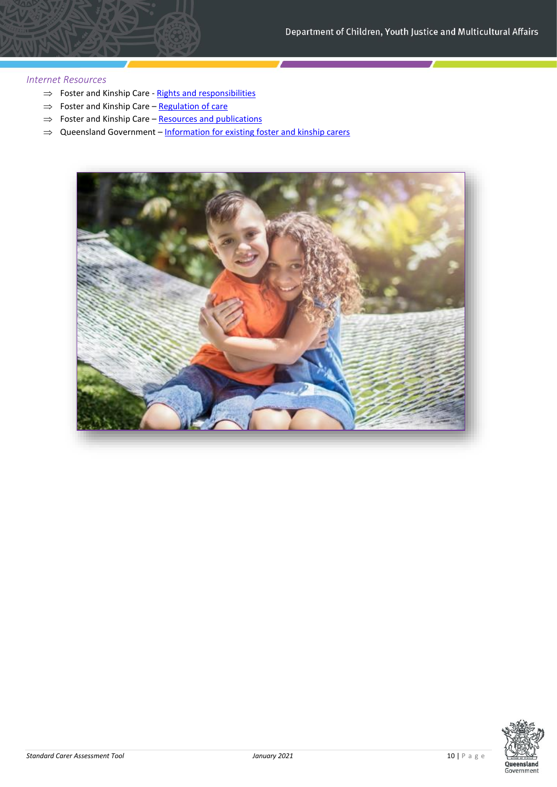- $\Rightarrow$  Foster and Kinship Care [Rights and responsibilities](https://www.csyw.qld.gov.au/child-family/foster-kinship-care/rights-responsibilities)
- $\Rightarrow$  Foster and Kinship Care [Regulation of care](https://www.csyw.qld.gov.au/child-family/foster-kinship-care/regulation-care)
- $\Rightarrow$  Foster and Kinship Care [Resources and publications](https://www.csyw.qld.gov.au/child-family/foster-kinship-care/resources-publications)
- <span id="page-9-0"></span> $\Rightarrow$  Queensland Government – [Information for existing foster and kinship carers](https://www.qld.gov.au/community/caring-child/foster-kinship-care/information-for-carers)